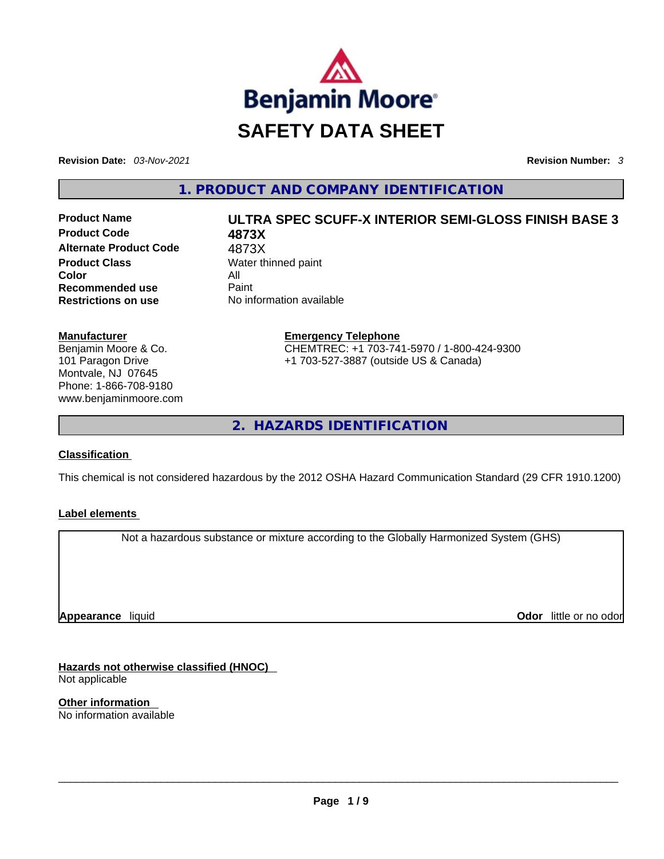

**Revision Date:** *03-Nov-2021* **Revision Number:** *3*

**1. PRODUCT AND COMPANY IDENTIFICATION** 

**Product Code 4873X Alternate Product Code** 4873X **Product Class Water thinned paint Color** All **Recommended use Paint Restrictions on use** No information available

# **Product Name ULTRA SPEC SCUFF-X INTERIOR SEMI-GLOSS FINISH BASE 3**

**Emergency Telephone** CHEMTREC: +1 703-741-5970 / 1-800-424-9300 +1 703-527-3887 (outside US & Canada)

**2. HAZARDS IDENTIFICATION** 

# **Classification**

**Manufacturer**

Benjamin Moore & Co. 101 Paragon Drive Montvale, NJ 07645 Phone: 1-866-708-9180 www.benjaminmoore.com

This chemical is not considered hazardous by the 2012 OSHA Hazard Communication Standard (29 CFR 1910.1200)

# **Label elements**

Not a hazardous substance or mixture according to the Globally Harmonized System (GHS)

**Appearance** liquid

**Odor** little or no odor

**Hazards not otherwise classified (HNOC)**  Not applicable

**Other information**  No information available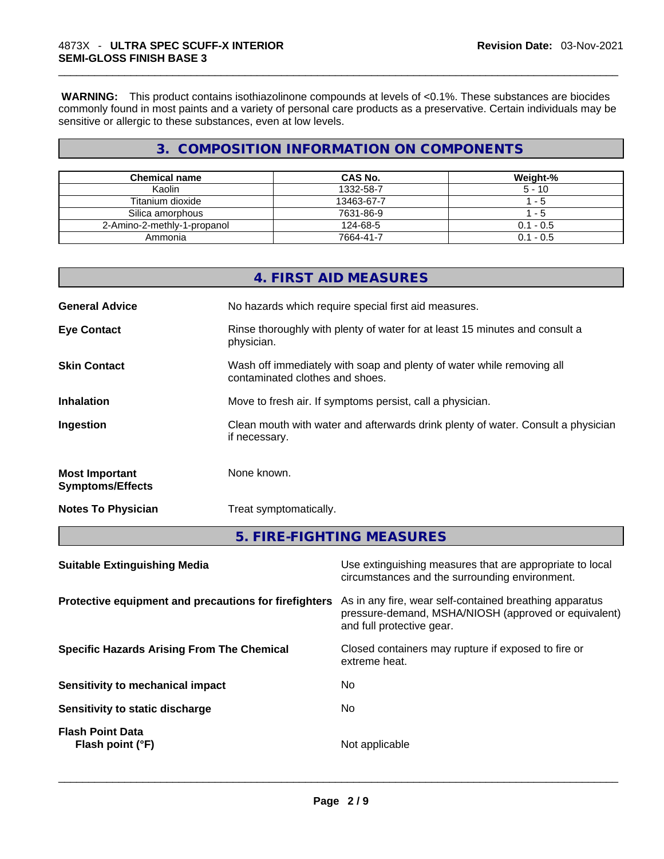**WARNING:** This product contains isothiazolinone compounds at levels of <0.1%. These substances are biocides commonly found in most paints and a variety of personal care products as a preservative. Certain individuals may be sensitive or allergic to these substances, even at low levels.

# **3. COMPOSITION INFORMATION ON COMPONENTS**

| <b>Chemical name</b>        | <b>CAS No.</b> | Weight-%    |
|-----------------------------|----------------|-------------|
| Kaolin                      | 1332-58-7      | $5 - 10$    |
| Titanium dioxide            | 13463-67-7     | - 5         |
| Silica amorphous            | 7631-86-9      | - 5         |
| 2-Amino-2-methly-1-propanol | 124-68-5       | $0.1 - 0.5$ |
| Ammonia                     | 7664-41-7      | $0.1 - 0.5$ |

|                                                  | 4. FIRST AID MEASURES                                                                                    |
|--------------------------------------------------|----------------------------------------------------------------------------------------------------------|
| <b>General Advice</b>                            | No hazards which require special first aid measures.                                                     |
| <b>Eye Contact</b>                               | Rinse thoroughly with plenty of water for at least 15 minutes and consult a<br>physician.                |
| <b>Skin Contact</b>                              | Wash off immediately with soap and plenty of water while removing all<br>contaminated clothes and shoes. |
| <b>Inhalation</b>                                | Move to fresh air. If symptoms persist, call a physician.                                                |
| Ingestion                                        | Clean mouth with water and afterwards drink plenty of water. Consult a physician<br>if necessary.        |
| <b>Most Important</b><br><b>Symptoms/Effects</b> | None known.                                                                                              |
| <b>Notes To Physician</b>                        | Treat symptomatically.                                                                                   |
|                                                  | 5. FIRE-FIGHTING MEASURES                                                                                |

| <b>Suitable Extinguishing Media</b>                   | Use extinguishing measures that are appropriate to local<br>circumstances and the surrounding environment.                                   |
|-------------------------------------------------------|----------------------------------------------------------------------------------------------------------------------------------------------|
| Protective equipment and precautions for firefighters | As in any fire, wear self-contained breathing apparatus<br>pressure-demand, MSHA/NIOSH (approved or equivalent)<br>and full protective gear. |
| <b>Specific Hazards Arising From The Chemical</b>     | Closed containers may rupture if exposed to fire or<br>extreme heat.                                                                         |
| Sensitivity to mechanical impact                      | No                                                                                                                                           |
| Sensitivity to static discharge                       | No.                                                                                                                                          |
| <b>Flash Point Data</b><br>Flash point (°F)           | Not applicable                                                                                                                               |
|                                                       |                                                                                                                                              |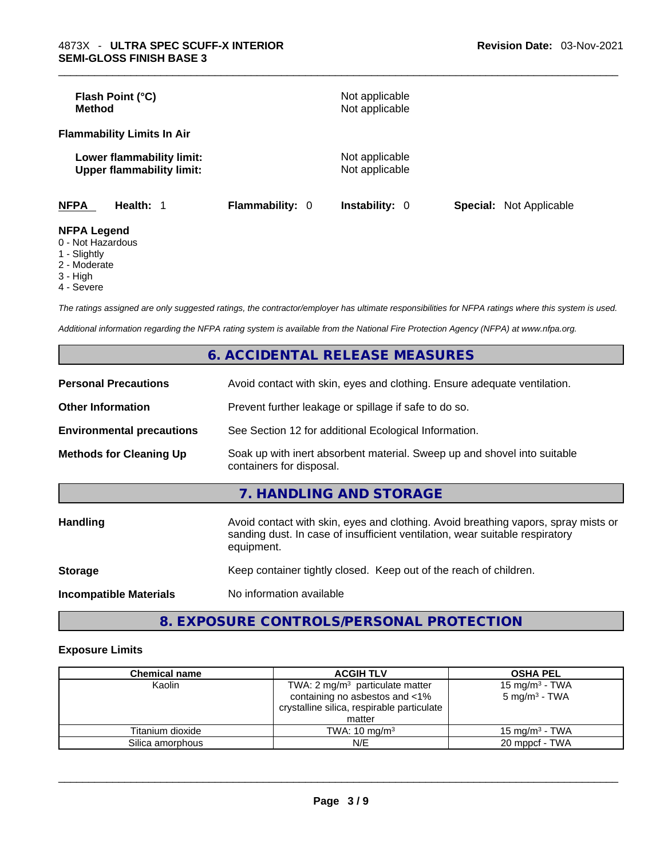| Flash Point (°C)<br><b>Method</b>                             |                        | Not applicable<br>Not applicable |                                |  |
|---------------------------------------------------------------|------------------------|----------------------------------|--------------------------------|--|
| <b>Flammability Limits In Air</b>                             |                        |                                  |                                |  |
| Lower flammability limit:<br><b>Upper flammability limit:</b> |                        | Not applicable<br>Not applicable |                                |  |
| <b>NFPA</b><br>Health: 1                                      | <b>Flammability: 0</b> | <b>Instability: 0</b>            | <b>Special: Not Applicable</b> |  |
| <b>NFPA Legend</b><br>0 - Not Hazardous                       |                        |                                  |                                |  |

- 
- 1 Slightly 2 - Moderate
- 3 High
- 4 Severe

*The ratings assigned are only suggested ratings, the contractor/employer has ultimate responsibilities for NFPA ratings where this system is used.* 

*Additional information regarding the NFPA rating system is available from the National Fire Protection Agency (NFPA) at www.nfpa.org.* 

|                                  | <b>6. ACCIDENTAL RELEASE MEASURES</b>                                                                                                                                            |
|----------------------------------|----------------------------------------------------------------------------------------------------------------------------------------------------------------------------------|
| <b>Personal Precautions</b>      | Avoid contact with skin, eyes and clothing. Ensure adequate ventilation.                                                                                                         |
| <b>Other Information</b>         | Prevent further leakage or spillage if safe to do so.                                                                                                                            |
| <b>Environmental precautions</b> | See Section 12 for additional Ecological Information.                                                                                                                            |
| <b>Methods for Cleaning Up</b>   | Soak up with inert absorbent material. Sweep up and shovel into suitable<br>containers for disposal.                                                                             |
|                                  | 7. HANDLING AND STORAGE                                                                                                                                                          |
| <b>Handling</b>                  | Avoid contact with skin, eyes and clothing. Avoid breathing vapors, spray mists or<br>sanding dust. In case of insufficient ventilation, wear suitable respiratory<br>equipment. |
| <b>Storage</b>                   | Keep container tightly closed. Keep out of the reach of children.                                                                                                                |
| <b>Incompatible Materials</b>    | No information available                                                                                                                                                         |
|                                  |                                                                                                                                                                                  |

# **8. EXPOSURE CONTROLS/PERSONAL PROTECTION**

#### **Exposure Limits**

| <b>Chemical name</b> | <b>ACGIH TLV</b>                           | <b>OSHA PEL</b>           |
|----------------------|--------------------------------------------|---------------------------|
| Kaolin               | TWA: 2 $mg/m3$ particulate matter          | 15 mg/m $3$ - TWA         |
|                      | containing no asbestos and <1%             | 5 mg/m <sup>3</sup> - TWA |
|                      | crystalline silica, respirable particulate |                           |
|                      | matter                                     |                           |
| Titanium dioxide     | TWA: $10 \text{ mg/m}^3$                   | 15 mg/m $3$ - TWA         |
| Silica amorphous     | N/E                                        | 20 mppcf - TWA            |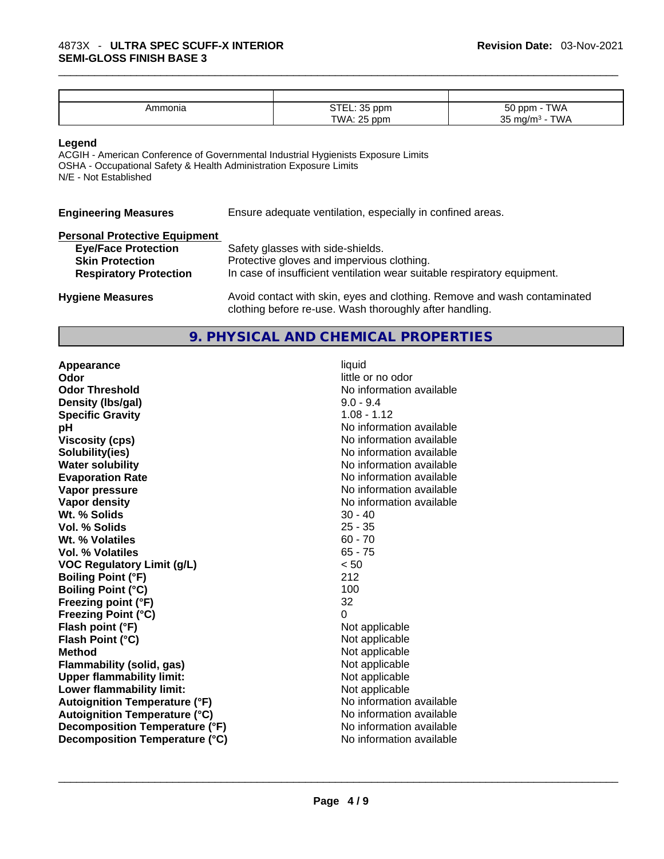| Ammonia | $\cap$ TE<br>$\sim$<br>ppm<br>ັັ | $-\sim$<br><b>TWA</b><br>ppm<br>JU             |
|---------|----------------------------------|------------------------------------------------|
|         | TWA<br>.25<br>ppm<br>v v r       | <b>TWA</b><br>25<br>ma/m<br>ັບ<br>. <b>. .</b> |

#### **Legend**

ACGIH - American Conference of Governmental Industrial Hygienists Exposure Limits OSHA - Occupational Safety & Health Administration Exposure Limits N/E - Not Established

**Engineering Measures** Ensure adequate ventilation, especially in confined areas.

| <b>Personal Protective Equipment</b> |                                                                                                                                     |
|--------------------------------------|-------------------------------------------------------------------------------------------------------------------------------------|
| <b>Eye/Face Protection</b>           | Safety glasses with side-shields.                                                                                                   |
| <b>Skin Protection</b>               | Protective gloves and impervious clothing.                                                                                          |
| <b>Respiratory Protection</b>        | In case of insufficient ventilation wear suitable respiratory equipment.                                                            |
| <b>Hygiene Measures</b>              | Avoid contact with skin, eyes and clothing. Remove and wash contaminated<br>clothing before re-use. Wash thoroughly after handling. |

# **9. PHYSICAL AND CHEMICAL PROPERTIES**

**Appearance** liquid **Odor Odor Odor Odor Odor Odor** *little* **or no odor Odor Threshold** No information available **Density (lbs/gal)** 9.0 - 9.4 **Specific Gravity** 1.08 - 1.12 **pH bH** *pH* **Viscosity (cps) Viscosity (cps) No information available Solubility(ies)** No information available **Water solubility Water solubility No information available Evaporation Rate No information available No information available Vapor pressure**  No information available **Vapor pressure No information available Vapor density**<br> **We Solids**<br>
We Solids
20 - 40 Wt. % Solids **Vol. % Solids** 25 - 35 **Wt. % Volatiles** 60 - 70 **Vol. % Volatiles** 65 - 75 **VOC Regulatory Limit (g/L)** < 50 **Boiling Point (°F)** 212 **Boiling Point**  $(^{\circ}C)$  100 **Freezing point (°F)** 32 **Freezing Point (°C)** 0 **Flash point (°F)** Not applicable **Flash Point (°C)** Not applicable **Method** Not applicable **Flammability (solid, gas)** Not applicable **Upper flammability limit:** Not applicable **Lower flammability limit:** Not applicable **Autoignition Temperature (°F)** No information available **Autoignition Temperature (°C)** No information available **Decomposition Temperature (°F)** No information available **Decomposition Temperature (°C)** No information available \_\_\_\_\_\_\_\_\_\_\_\_\_\_\_\_\_\_\_\_\_\_\_\_\_\_\_\_\_\_\_\_\_\_\_\_\_\_\_\_\_\_\_\_\_\_\_\_\_\_\_\_\_\_\_\_\_\_\_\_\_\_\_\_\_\_\_\_\_\_\_\_\_\_\_\_\_\_\_\_\_\_\_\_\_\_\_\_\_\_\_\_\_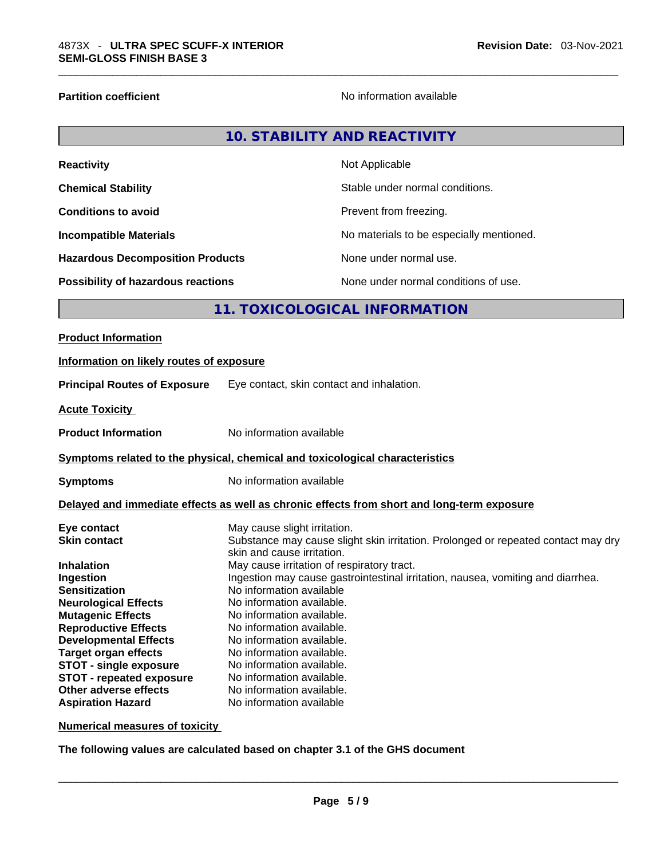**Reactivity** 

**Partition coefficient Contract Contract Contract Contract Contract Contract Contract Contract Contract Contract Contract Contract Contract Contract Contract Contract Contract Contract Contract Contract Contract Contract** 

| 10. STABILITY AND REACTIVITY |
|------------------------------|
| Not Applicable               |

| <b>Chemical Stability</b>               | Stable under normal conditions.          |
|-----------------------------------------|------------------------------------------|
| <b>Conditions to avoid</b>              | Prevent from freezing.                   |
| <b>Incompatible Materials</b>           | No materials to be especially mentioned. |
| <b>Hazardous Decomposition Products</b> | None under normal use.                   |
| Possibility of hazardous reactions      | None under normal conditions of use.     |

# **11. TOXICOLOGICAL INFORMATION**

| Information on likely routes of exposure<br><b>Principal Routes of Exposure</b><br>Eye contact, skin contact and inhalation.<br><b>Acute Toxicity</b><br>No information available<br><b>Product Information</b><br>Symptoms related to the physical, chemical and toxicological characteristics<br>No information available<br><b>Symptoms</b><br>Delayed and immediate effects as well as chronic effects from short and long-term exposure<br>May cause slight irritation.<br>Eye contact<br>Substance may cause slight skin irritation. Prolonged or repeated contact may dry<br><b>Skin contact</b><br>skin and cause irritation.<br>May cause irritation of respiratory tract.<br><b>Inhalation</b><br>Ingestion may cause gastrointestinal irritation, nausea, vomiting and diarrhea.<br>Ingestion<br>No information available<br><b>Sensitization</b> |
|--------------------------------------------------------------------------------------------------------------------------------------------------------------------------------------------------------------------------------------------------------------------------------------------------------------------------------------------------------------------------------------------------------------------------------------------------------------------------------------------------------------------------------------------------------------------------------------------------------------------------------------------------------------------------------------------------------------------------------------------------------------------------------------------------------------------------------------------------------------|
|                                                                                                                                                                                                                                                                                                                                                                                                                                                                                                                                                                                                                                                                                                                                                                                                                                                              |
|                                                                                                                                                                                                                                                                                                                                                                                                                                                                                                                                                                                                                                                                                                                                                                                                                                                              |
|                                                                                                                                                                                                                                                                                                                                                                                                                                                                                                                                                                                                                                                                                                                                                                                                                                                              |
|                                                                                                                                                                                                                                                                                                                                                                                                                                                                                                                                                                                                                                                                                                                                                                                                                                                              |
|                                                                                                                                                                                                                                                                                                                                                                                                                                                                                                                                                                                                                                                                                                                                                                                                                                                              |
|                                                                                                                                                                                                                                                                                                                                                                                                                                                                                                                                                                                                                                                                                                                                                                                                                                                              |
|                                                                                                                                                                                                                                                                                                                                                                                                                                                                                                                                                                                                                                                                                                                                                                                                                                                              |
| No information available.<br><b>Neurological Effects</b><br><b>Mutagenic Effects</b><br>No information available.<br><b>Reproductive Effects</b><br>No information available.<br><b>Developmental Effects</b><br>No information available.<br><b>Target organ effects</b><br>No information available.<br><b>STOT - single exposure</b><br>No information available.<br><b>STOT - repeated exposure</b><br>No information available.<br>Other adverse effects<br>No information available.                                                                                                                                                                                                                                                                                                                                                                   |

**Numerical measures of toxicity**

**The following values are calculated based on chapter 3.1 of the GHS document**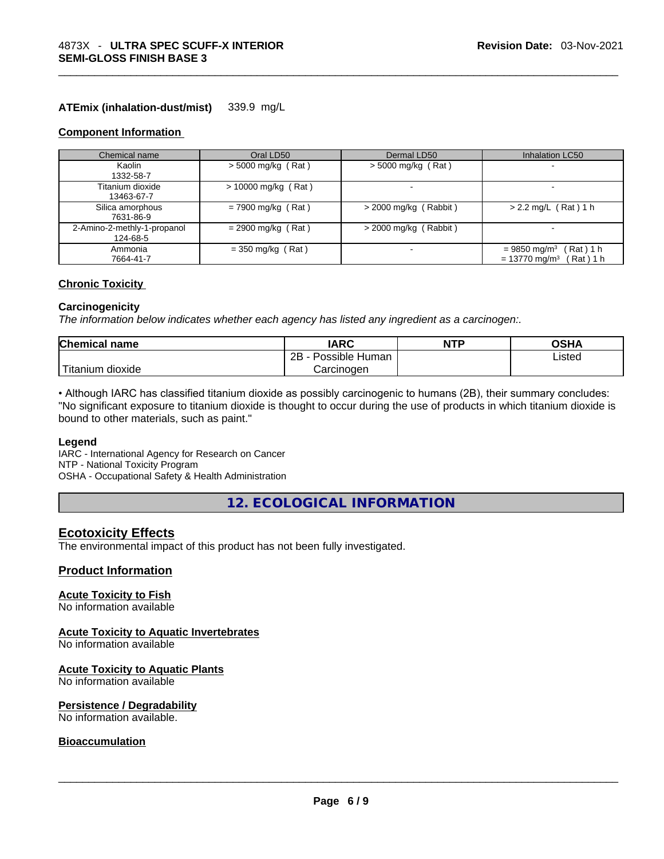#### **ATEmix (inhalation-dust/mist)** 339.9 mg/L

#### **Component Information**

| Chemical name                           | Oral LD50             | Dermal LD50             | <b>Inhalation LC50</b>                                                              |
|-----------------------------------------|-----------------------|-------------------------|-------------------------------------------------------------------------------------|
| Kaolin<br>1332-58-7                     | $>$ 5000 mg/kg (Rat)  | $>$ 5000 mg/kg (Rat)    | $\overline{\phantom{a}}$                                                            |
| Titanium dioxide<br>13463-67-7          | $> 10000$ mg/kg (Rat) |                         |                                                                                     |
| Silica amorphous<br>7631-86-9           | $= 7900$ mg/kg (Rat)  | $>$ 2000 mg/kg (Rabbit) | $> 2.2$ mg/L (Rat) 1 h                                                              |
| 2-Amino-2-methly-1-propanol<br>124-68-5 | $= 2900$ mg/kg (Rat)  | $>$ 2000 mg/kg (Rabbit) |                                                                                     |
| Ammonia<br>7664-41-7                    | $=$ 350 mg/kg (Rat)   |                         | (Rat) 1 h<br>$= 9850$ mg/m <sup>3</sup><br>Rat ) 1 h<br>$= 13770$ mg/m <sup>3</sup> |

#### **Chronic Toxicity**

#### **Carcinogenicity**

*The information below indicates whether each agency has listed any ingredient as a carcinogen:.* 

| <b>Chemical name</b> | IARC                 | <b>NTP</b> | OSHA   |
|----------------------|----------------------|------------|--------|
|                      | Possible Human<br>2B |            | Listed |
| Titanium<br>dioxide  | Carcinogen           |            |        |

• Although IARC has classified titanium dioxide as possibly carcinogenic to humans (2B), their summary concludes: "No significant exposure to titanium dioxide is thought to occur during the use of products in which titanium dioxide is bound to other materials, such as paint."

#### **Legend**

IARC - International Agency for Research on Cancer NTP - National Toxicity Program OSHA - Occupational Safety & Health Administration

**12. ECOLOGICAL INFORMATION** 

## **Ecotoxicity Effects**

The environmental impact of this product has not been fully investigated.

#### **Product Information**

#### **Acute Toxicity to Fish**

No information available

#### **Acute Toxicity to Aquatic Invertebrates**

No information available

#### **Acute Toxicity to Aquatic Plants**

No information available

#### **Persistence / Degradability**

No information available. \_\_\_\_\_\_\_\_\_\_\_\_\_\_\_\_\_\_\_\_\_\_\_\_\_\_\_\_\_\_\_\_\_\_\_\_\_\_\_\_\_\_\_\_\_\_\_\_\_\_\_\_\_\_\_\_\_\_\_\_\_\_\_\_\_\_\_\_\_\_\_\_\_\_\_\_\_\_\_\_\_\_\_\_\_\_\_\_\_\_\_\_\_

#### **Bioaccumulation**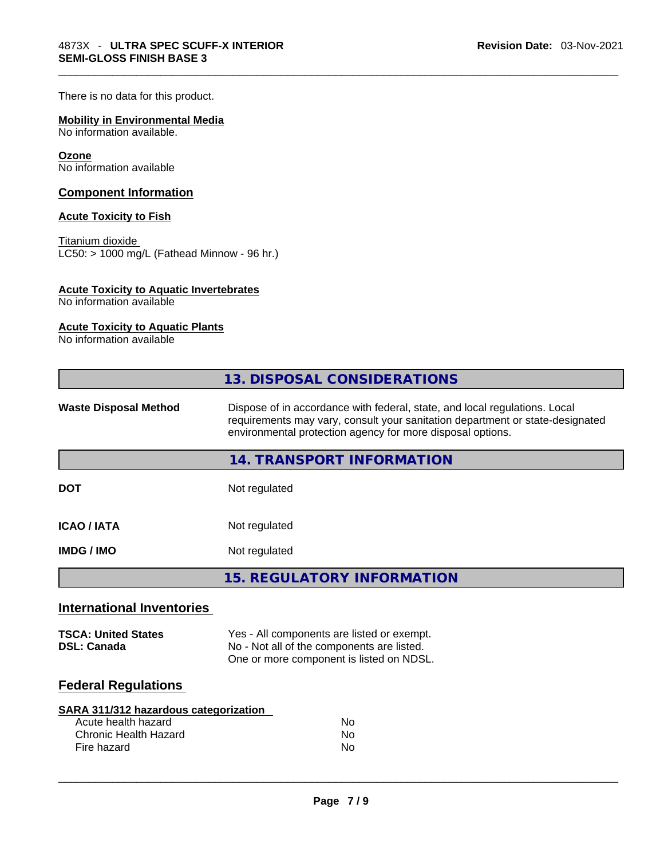There is no data for this product.

## **Mobility in Environmental Media**

No information available.

#### **Ozone**

No information available

#### **Component Information**

#### **Acute Toxicity to Fish**

Titanium dioxide  $LC50: > 1000$  mg/L (Fathead Minnow - 96 hr.)

#### **Acute Toxicity to Aquatic Invertebrates**

No information available

#### **Acute Toxicity to Aquatic Plants**

No information available

| Dispose of in accordance with federal, state, and local regulations. Local<br><b>Waste Disposal Method</b><br>requirements may vary, consult your sanitation department or state-designated<br>environmental protection agency for more disposal options.<br>14. TRANSPORT INFORMATION<br><b>DOT</b><br>Not regulated<br><b>ICAO / IATA</b><br>Not regulated<br>Not regulated<br><b>IMDG / IMO</b><br><b>15. REGULATORY INFORMATION</b><br><b>International Inventories</b><br>Yes - All components are listed or exempt.<br><b>TSCA: United States</b><br>No - Not all of the components are listed.<br><b>DSL: Canada</b><br>One or more component is listed on NDSL.<br><b>Federal Regulations</b><br><b>SARA 311/312 hazardous categorization</b><br>Acute health hazard<br>No<br>Chronic Health Hazard<br><b>No</b><br><b>No</b><br>Fire hazard | 13. DISPOSAL CONSIDERATIONS |
|------------------------------------------------------------------------------------------------------------------------------------------------------------------------------------------------------------------------------------------------------------------------------------------------------------------------------------------------------------------------------------------------------------------------------------------------------------------------------------------------------------------------------------------------------------------------------------------------------------------------------------------------------------------------------------------------------------------------------------------------------------------------------------------------------------------------------------------------------|-----------------------------|
|                                                                                                                                                                                                                                                                                                                                                                                                                                                                                                                                                                                                                                                                                                                                                                                                                                                      |                             |
|                                                                                                                                                                                                                                                                                                                                                                                                                                                                                                                                                                                                                                                                                                                                                                                                                                                      |                             |
|                                                                                                                                                                                                                                                                                                                                                                                                                                                                                                                                                                                                                                                                                                                                                                                                                                                      |                             |
|                                                                                                                                                                                                                                                                                                                                                                                                                                                                                                                                                                                                                                                                                                                                                                                                                                                      |                             |
|                                                                                                                                                                                                                                                                                                                                                                                                                                                                                                                                                                                                                                                                                                                                                                                                                                                      |                             |
|                                                                                                                                                                                                                                                                                                                                                                                                                                                                                                                                                                                                                                                                                                                                                                                                                                                      |                             |
|                                                                                                                                                                                                                                                                                                                                                                                                                                                                                                                                                                                                                                                                                                                                                                                                                                                      |                             |
|                                                                                                                                                                                                                                                                                                                                                                                                                                                                                                                                                                                                                                                                                                                                                                                                                                                      |                             |
|                                                                                                                                                                                                                                                                                                                                                                                                                                                                                                                                                                                                                                                                                                                                                                                                                                                      |                             |
|                                                                                                                                                                                                                                                                                                                                                                                                                                                                                                                                                                                                                                                                                                                                                                                                                                                      |                             |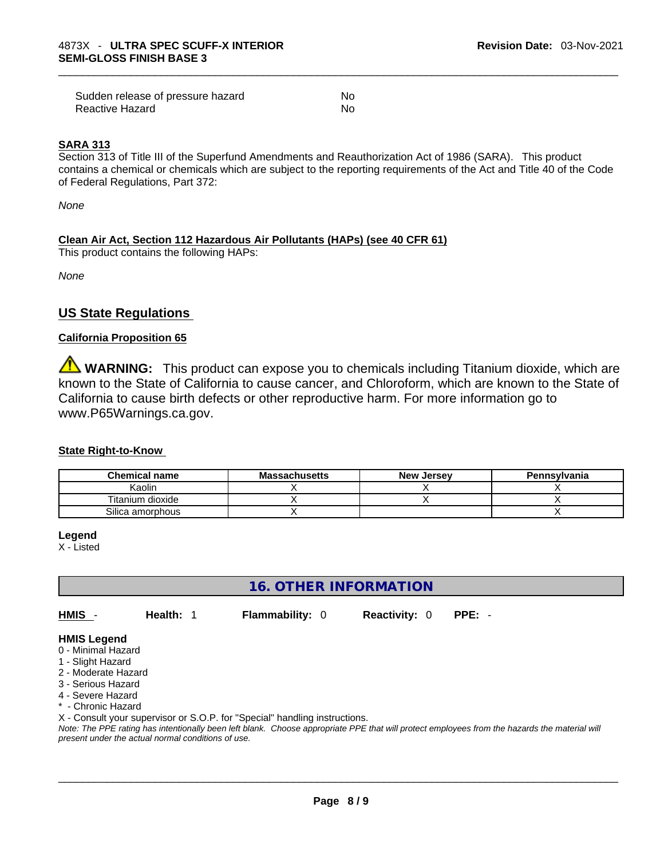| Sudden release of pressure hazard | No  |
|-----------------------------------|-----|
| Reactive Hazard                   | No. |

#### **SARA 313**

Section 313 of Title III of the Superfund Amendments and Reauthorization Act of 1986 (SARA). This product contains a chemical or chemicals which are subject to the reporting requirements of the Act and Title 40 of the Code of Federal Regulations, Part 372:

*None*

## **Clean Air Act,Section 112 Hazardous Air Pollutants (HAPs) (see 40 CFR 61)**

This product contains the following HAPs:

*None*

# **US State Regulations**

#### **California Proposition 65**

**WARNING:** This product can expose you to chemicals including Titanium dioxide, which are known to the State of California to cause cancer, and Chloroform, which are known to the State of California to cause birth defects or other reproductive harm. For more information go to www.P65Warnings.ca.gov.

#### **State Right-to-Know**

| <b>Chemical name</b> | <b>Massachusetts</b> | <b>New Jersey</b> | Pennsylvania |
|----------------------|----------------------|-------------------|--------------|
| Kaolin               |                      |                   |              |
| Titanium dioxide     |                      |                   |              |
| Silica amorphous     |                      |                   |              |

**Legend**

X - Listed

# **16. OTHER INFORMATION**

**HMIS** - **Health:** 1 **Flammability:** 0 **Reactivity:** 0 **PPE:** -

## **HMIS Legend**

- 0 Minimal Hazard
- 1 Slight Hazard
- 2 Moderate Hazard
- 3 Serious Hazard
- 4 Severe Hazard
- \* Chronic Hazard

X - Consult your supervisor or S.O.P. for "Special" handling instructions.

Note: The PPE rating has intentionally been left blank. Choose appropriate PPE that will protect employees from the hazards the material will *present under the actual normal conditions of use.*